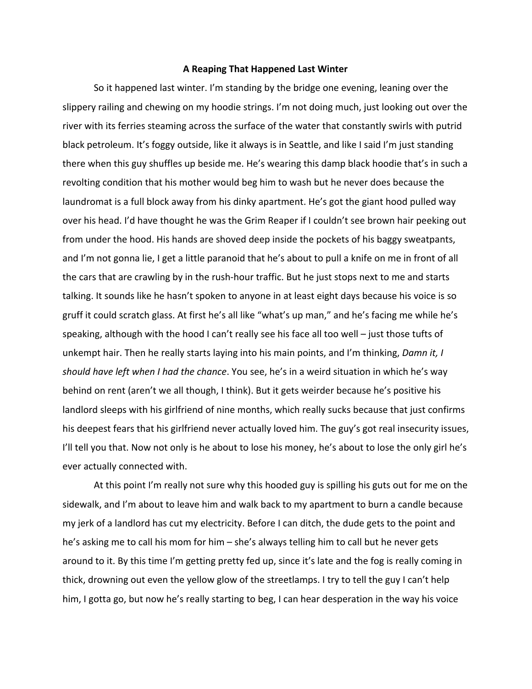## **A Reaping That Happened Last Winter**

So it happened last winter. I'm standing by the bridge one evening, leaning over the slippery railing and chewing on my hoodie strings. I'm not doing much, just looking out over the river with its ferries steaming across the surface of the water that constantly swirls with putrid black petroleum. It's foggy outside, like it always is in Seattle, and like I said I'm just standing there when this guy shuffles up beside me. He's wearing this damp black hoodie that's in such a revolting condition that his mother would beg him to wash but he never does because the laundromat is a full block away from his dinky apartment. He's got the giant hood pulled way over his head. I'd have thought he was the Grim Reaper if I couldn't see brown hair peeking out from under the hood. His hands are shoved deep inside the pockets of his baggy sweatpants, and I'm not gonna lie, I get a little paranoid that he's about to pull a knife on me in front of all the cars that are crawling by in the rush-hour traffic. But he just stops next to me and starts talking. It sounds like he hasn't spoken to anyone in at least eight days because his voice is so gruff it could scratch glass. At first he's all like "what's up man," and he's facing me while he's speaking, although with the hood I can't really see his face all too well – just those tufts of unkempt hair. Then he really starts laying into his main points, and I'm thinking, *Damn it, I should have left when I had the chance*. You see, he's in a weird situation in which he's way behind on rent (aren't we all though, I think). But it gets weirder because he's positive his landlord sleeps with his girlfriend of nine months, which really sucks because that just confirms his deepest fears that his girlfriend never actually loved him. The guy's got real insecurity issues, I'll tell you that. Now not only is he about to lose his money, he's about to lose the only girl he's ever actually connected with.

At this point I'm really not sure why this hooded guy is spilling his guts out for me on the sidewalk, and I'm about to leave him and walk back to my apartment to burn a candle because my jerk of a landlord has cut my electricity. Before I can ditch, the dude gets to the point and he's asking me to call his mom for him – she's always telling him to call but he never gets around to it. By this time I'm getting pretty fed up, since it's late and the fog is really coming in thick, drowning out even the yellow glow of the streetlamps. I try to tell the guy I can't help him, I gotta go, but now he's really starting to beg, I can hear desperation in the way his voice